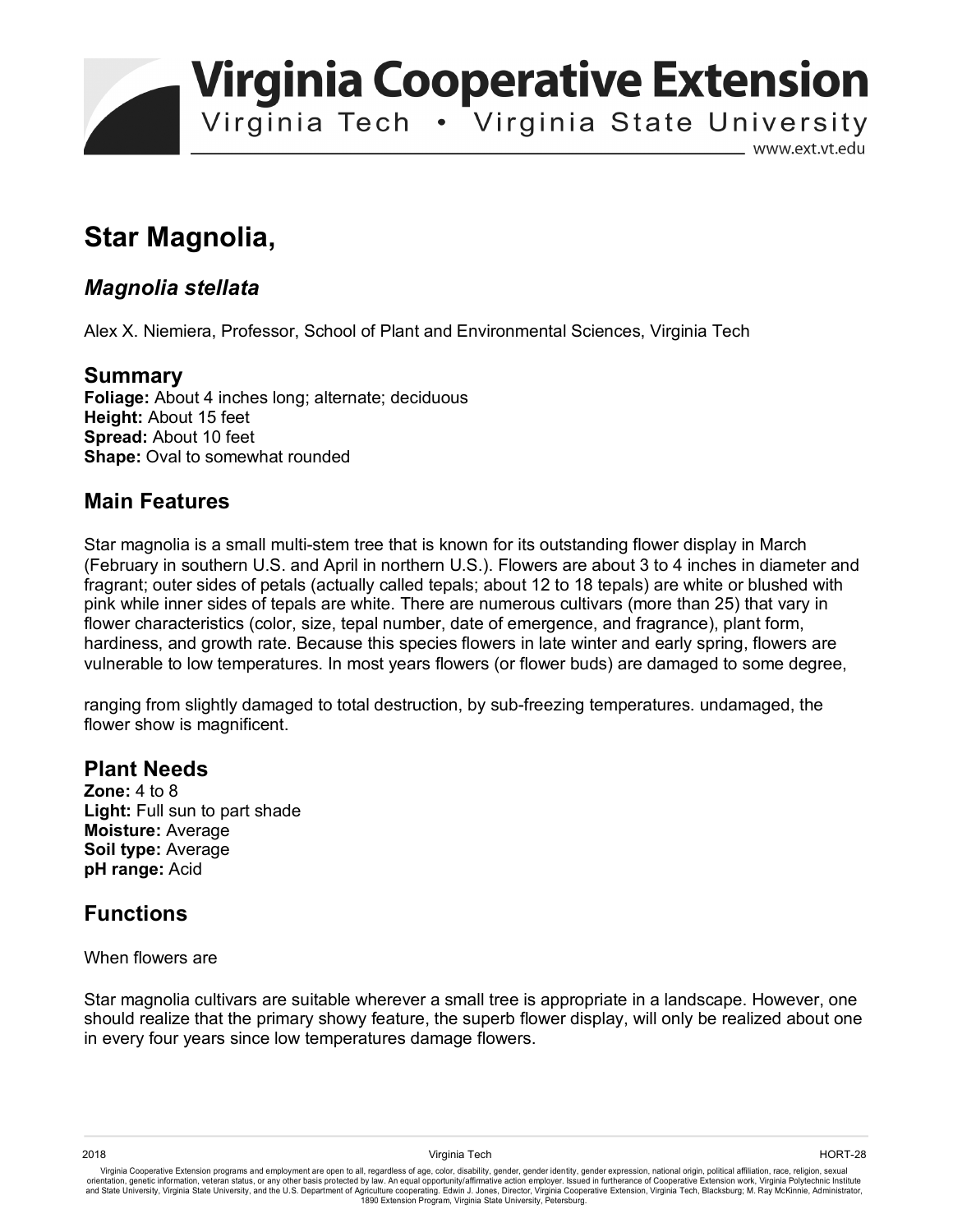**Virginia Cooperative Extension** 

Virginia Tech . Virginia State University

www.ext.vt.edu

# **Star Magnolia,**

## *Magnolia stellata*

Alex X. Niemiera, Professor, School of Plant and Environmental Sciences, Virginia Tech

### **Summary**

**Foliage:** About 4 inches long; alternate; deciduous **Height:** About 15 feet **Spread:** About 10 feet **Shape:** Oval to somewhat rounded

## **Main Features**

Star magnolia is a small multi-stem tree that is known for its outstanding flower display in March (February in southern U.S. and April in northern U.S.). Flowers are about 3 to 4 inches in diameter and fragrant; outer sides of petals (actually called tepals; about 12 to 18 tepals) are white or blushed with pink while inner sides of tepals are white. There are numerous cultivars (more than 25) that vary in flower characteristics (color, size, tepal number, date of emergence, and fragrance), plant form, hardiness, and growth rate. Because this species flowers in late winter and early spring, flowers are vulnerable to low temperatures. In most years flowers (or flower buds) are damaged to some degree,

ranging from slightly damaged to total destruction, by sub-freezing temperatures. undamaged, the flower show is magnificent.

### **Plant Needs**

**Zone:** 4 to 8 Light: Full sun to part shade **Moisture:** Average **Soil type:** Average **pH range:** Acid

## **Functions**

#### When flowers are

Star magnolia cultivars are suitable wherever a small tree is appropriate in a landscape. However, one should realize that the primary showy feature, the superb flower display, will only be realized about one in every four years since low temperatures damage flowers.

Virginia Cooperative Extension programs and employment are open to all, regardless of age, color, disability, gender, gender identity, gender expression, national origin, political affiliation, race, religion, sexual orientation, genetic information, veteran status, or any other basis protected by law. An equal opportunity/affirmative action employer. Issued in furtherance of Cooperative Extension work, Virginia Polytechnic Institute<br>a 1890 Extension Program, Virginia State University, Petersburg.